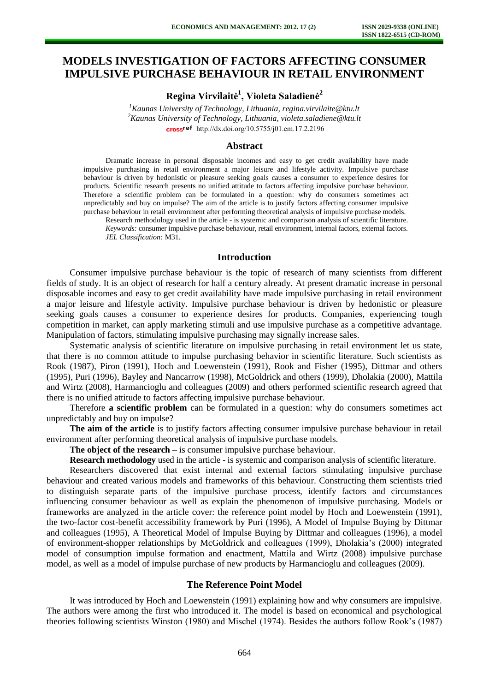# **MODELS INVESTIGATION OF FACTORS AFFECTING CONSUMER IMPULSIVE PURCHASE BEHAVIOUR IN RETAIL ENVIRONMENT**

**Regina Virvilaitė 1 , Violeta Saladienė<sup>2</sup>**

*<sup>1</sup>Kaunas University of Technology, Lithuania, regina.virvilaite@ktu.lt <sup>2</sup>Kaunas University of Technology, Lithuania, violeta.saladiene@ktu.lt*  cross<sup>ref</sup> [http://dx.doi.org/10.5755/j01.e](http://dx.doi.org/10.5755/j01.em.17.2.2196)m.17.2.2196

#### **Abstract**

Dramatic increase in personal disposable incomes and easy to get credit availability have made impulsive purchasing in retail environment a major leisure and lifestyle activity. Impulsive purchase behaviour is driven by hedonistic or pleasure seeking goals causes a consumer to experience desires for products. Scientific research presents no unified attitude to factors affecting impulsive purchase behaviour. Therefore a scientific problem can be formulated in a question: why do consumers sometimes act unpredictably and buy on impulse? The aim of the article is to justify factors affecting consumer impulsive purchase behaviour in retail environment after performing theoretical analysis of impulsive purchase models.

Research methodology used in the article - is systemic and comparison analysis of scientific literature. *Keywords:* consumer impulsive purchase behaviour, retail environment, internal factors, external factors. *JEL Classification:* M31.

#### **Introduction**

Consumer impulsive purchase behaviour is the topic of research of many scientists from different fields of study. It is an object of research for half a century already. At present dramatic increase in personal disposable incomes and easy to get credit availability have made impulsive purchasing in retail environment a major leisure and lifestyle activity. Impulsive purchase behaviour is driven by hedonistic or pleasure seeking goals causes a consumer to experience desires for products. Companies, experiencing tough competition in market, can apply marketing stimuli and use impulsive purchase as a competitive advantage. Manipulation of factors, stimulating impulsive purchasing may signally increase sales.

Systematic analysis of scientific literature on impulsive purchasing in retail environment let us state, that there is no common attitude to impulse purchasing behavior in scientific literature. Such scientists as Rook (1987), Piron (1991), Hoch and Loewenstein (1991), Rook and Fisher (1995), Dittmar and others (1995), Puri (1996), Bayley and Nancarrow (1998), McGoldrick and others (1999), Dholakia (2000), Mattila and Wirtz (2008), Harmancioglu and colleagues (2009) and others performed scientific research agreed that there is no unified attitude to factors affecting impulsive purchase behaviour.

Therefore **a scientific problem** can be formulated in a question: why do consumers sometimes act unpredictably and buy on impulse?

**The aim of the article** is to justify factors affecting consumer impulsive purchase behaviour in retail environment after performing theoretical analysis of impulsive purchase models.

**The object of the research** – is consumer impulsive purchase behaviour.

**Research methodology** used in the article - is systemic and comparison analysis of scientific literature.

Researchers discovered that exist internal and external factors stimulating impulsive purchase behaviour and created various models and frameworks of this behaviour. Constructing them scientists tried to distinguish separate parts of the impulsive purchase process, identify factors and circumstances influencing consumer behaviour as well as explain the phenomenon of impulsive purchasing. Models or frameworks are analyzed in the article cover: the reference point model by Hoch and Loewenstein (1991), the two-factor cost-benefit accessibility framework by Puri (1996), A Model of Impulse Buying by Dittmar and colleagues (1995), A Theoretical Model of Impulse Buying by Dittmar and colleagues (1996), a model of environment-shopper relationships by McGoldrick and colleagues (1999), Dholakia's (2000) integrated model of consumption impulse formation and enactment, Mattila and Wirtz (2008) impulsive purchase model, as well as a model of impulse purchase of new products by Harmancioglu and colleagues (2009).

## **The Reference Point Model**

It was introduced by Hoch and Loewenstein (1991) explaining how and why consumers are impulsive. The authors were among the first who introduced it. The model is based on economical and psychological theories following scientists Winston (1980) and Mischel (1974). Besides the authors follow Rook's (1987)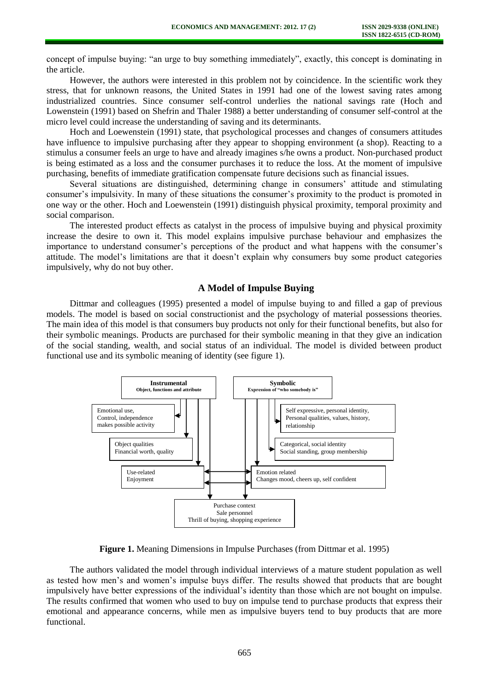concept of impulse buying: "an urge to buy something immediately", exactly, this concept is dominating in the article.

However, the authors were interested in this problem not by coincidence. In the scientific work they stress, that for unknown reasons, the United States in 1991 had one of the lowest saving rates among industrialized countries. Since consumer self-control underlies the national savings rate (Hoch and Lowenstein (1991) based on Shefrin and Thaler 1988) a better understanding of consumer self-control at the micro level could increase the understanding of saving and its determinants.

Hoch and Loewenstein (1991) state, that psychological processes and changes of consumers attitudes have influence to impulsive purchasing after they appear to shopping environment (a shop). Reacting to a stimulus a consumer feels an urge to have and already imagines s/he owns a product. Non-purchased product is being estimated as a loss and the consumer purchases it to reduce the loss. At the moment of impulsive purchasing, benefits of immediate gratification compensate future decisions such as financial issues.

Several situations are distinguished, determining change in consumers' attitude and stimulating consumer's impulsivity. In many of these situations the consumer's proximity to the product is promoted in one way or the other. Hoch and Loewenstein (1991) distinguish physical proximity, temporal proximity and social comparison.

The interested product effects as catalyst in the process of impulsive buying and physical proximity increase the desire to own it. This model explains impulsive purchase behaviour and emphasizes the importance to understand consumer's perceptions of the product and what happens with the consumer's attitude. The model's limitations are that it doesn't explain why consumers buy some product categories impulsively, why do not buy other.

# **A Model of Impulse Buying**

Dittmar and colleagues (1995) presented a model of impulse buying to and filled a gap of previous models. The model is based on social constructionist and the psychology of material possessions theories. The main idea of this model is that consumers buy products not only for their functional benefits, but also for their symbolic meanings. Products are purchased for their symbolic meaning in that they give an indication of the social standing, wealth, and social status of an individual. The model is divided between product functional use and its symbolic meaning of identity (see figure 1).



**Figure 1.** Meaning Dimensions in Impulse Purchases (from Dittmar et al. 1995)

The authors validated the model through individual interviews of a mature student population as well as tested how men's and women's impulse buys differ. The results showed that products that are bought impulsively have better expressions of the individual's identity than those which are not bought on impulse. The results confirmed that women who used to buy on impulse tend to purchase products that express their emotional and appearance concerns, while men as impulsive buyers tend to buy products that are more functional.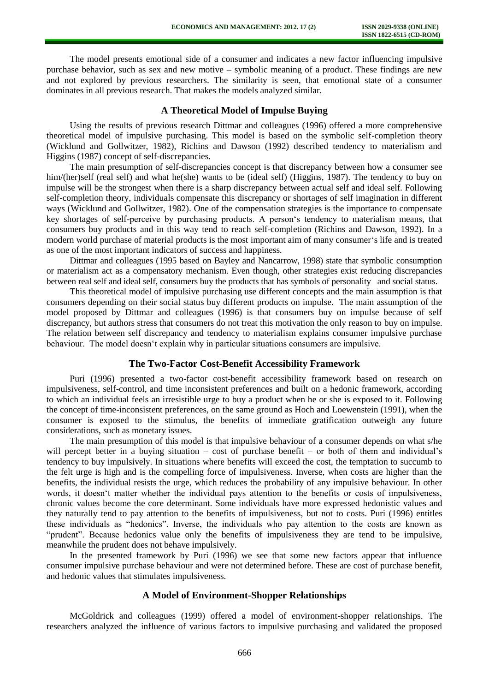The model presents emotional side of a consumer and indicates a new factor influencing impulsive purchase behavior, such as sex and new motive – symbolic meaning of a product. These findings are new and not explored by previous researchers. The similarity is seen, that emotional state of a consumer dominates in all previous research. That makes the models analyzed similar.

#### **A Theoretical Model of Impulse Buying**

Using the results of previous research Dittmar and colleagues (1996) offered a more comprehensive theoretical model of impulsive purchasing. This model is based on the symbolic self-completion theory (Wicklund and Gollwitzer, 1982), Richins and Dawson (1992) described tendency to materialism and Higgins (1987) concept of self-discrepancies.

The main presumption of self-discrepancies concept is that discrepancy between how a consumer see him/(her)self (real self) and what he(she) wants to be (ideal self) (Higgins, 1987). The tendency to buy on impulse will be the strongest when there is a sharp discrepancy between actual self and ideal self. Following self-completion theory, individuals compensate this discrepancy or shortages of self imagination in different ways (Wicklund and Gollwitzer, 1982). One of the compensation strategies is the importance to compensate key shortages of self-perceive by purchasing products. A person's tendency to materialism means, that consumers buy products and in this way tend to reach self-completion (Richins and Dawson, 1992). In a modern world purchase of material products is the most important aim of many consumer's life and is treated as one of the most important indicators of success and happiness.

Dittmar and colleagues (1995 based on Bayley and Nancarrow, 1998) state that symbolic consumption or materialism act as a compensatory mechanism. Even though, other strategies exist reducing discrepancies between real self and ideal self, consumers buy the products that has symbols of personality and social status.

This theoretical model of impulsive purchasing use different concepts and the main assumption is that consumers depending on their social status buy different products on impulse. The main assumption of the model proposed by Dittmar and colleagues (1996) is that consumers buy on impulse because of self discrepancy, but authors stress that consumers do not treat this motivation the only reason to buy on impulse. The relation between self discrepancy and tendency to materialism explains consumer impulsive purchase behaviour. The model doesn't explain why in particular situations consumers are impulsive.

## **The Two-Factor Cost-Benefit Accessibility Framework**

Puri (1996) presented a two-factor cost-benefit accessibility framework based on research on impulsiveness, self-control, and time inconsistent preferences and built on a hedonic framework, according to which an individual feels an irresistible urge to buy a product when he or she is exposed to it. Following the concept of time-inconsistent preferences, on the same ground as Hoch and Loewenstein (1991), when the consumer is exposed to the stimulus, the benefits of immediate gratification outweigh any future considerations, such as monetary issues.

The main presumption of this model is that impulsive behaviour of a consumer depends on what s/he will percept better in a buying situation – cost of purchase benefit – or both of them and individual's tendency to buy impulsively. In situations where benefits will exceed the cost, the temptation to succumb to the felt urge is high and is the compelling force of impulsiveness. Inverse, when costs are higher than the benefits, the individual resists the urge, which reduces the probability of any impulsive behaviour. In other words, it doesn't matter whether the individual pays attention to the benefits or costs of impulsiveness, chronic values become the core determinant. Some individuals have more expressed hedonistic values and they naturally tend to pay attention to the benefits of impulsiveness, but not to costs. Puri (1996) entitles these individuals as "hedonics". Inverse, the individuals who pay attention to the costs are known as "prudent". Because hedonics value only the benefits of impulsiveness they are tend to be impulsive, meanwhile the prudent does not behave impulsively.

In the presented framework by Puri (1996) we see that some new factors appear that influence consumer impulsive purchase behaviour and were not determined before. These are cost of purchase benefit, and hedonic values that stimulates impulsiveness.

# **A Model of Environment-Shopper Relationships**

McGoldrick and colleagues (1999) offered a model of environment-shopper relationships. The researchers analyzed the influence of various factors to impulsive purchasing and validated the proposed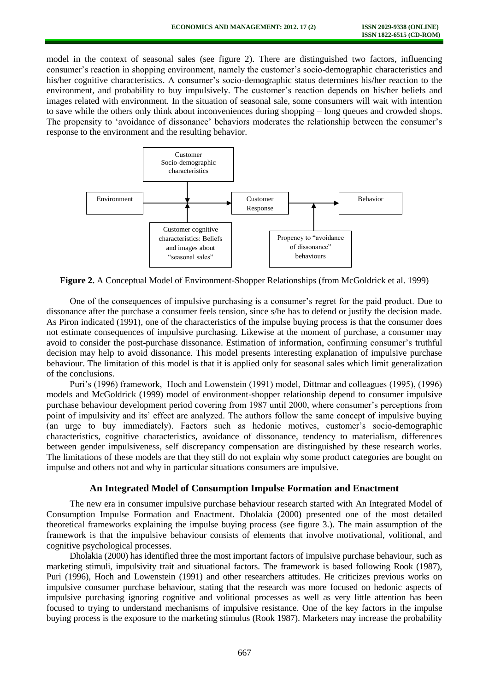model in the context of seasonal sales (see figure 2). There are distinguished two factors, influencing consumer's reaction in shopping environment, namely the customer's socio-demographic characteristics and his/her cognitive characteristics. A consumer's socio-demographic status determines his/her reaction to the environment, and probability to buy impulsively. The customer's reaction depends on his/her beliefs and images related with environment. In the situation of seasonal sale, some consumers will wait with intention to save while the others only think about inconveniences during shopping – long queues and crowded shops. The propensity to 'avoidance of dissonance' behaviors moderates the relationship between the consumer's response to the environment and the resulting behavior.



**Figure 2.** A Conceptual Model of Environment-Shopper Relationships (from McGoldrick et al. 1999)

One of the consequences of impulsive purchasing is a consumer's regret for the paid product. Due to dissonance after the purchase a consumer feels tension, since s/he has to defend or justify the decision made. As Piron indicated (1991), one of the characteristics of the impulse buying process is that the consumer does not estimate consequences of impulsive purchasing. Likewise at the moment of purchase, a consumer may avoid to consider the post-purchase dissonance. Estimation of information, confirming consumer's truthful decision may help to avoid dissonance. This model presents interesting explanation of impulsive purchase behaviour. The limitation of this model is that it is applied only for seasonal sales which limit generalization of the conclusions.

Puri's (1996) framework, Hoch and Lowenstein (1991) model, Dittmar and colleagues (1995), (1996) models and McGoldrick (1999) model of environment-shopper relationship depend to consumer impulsive purchase behaviour development period covering from 1987 until 2000, where consumer's perceptions from point of impulsivity and its' effect are analyzed. The authors follow the same concept of impulsive buying (an urge to buy immediately). Factors such as hedonic motives, customer's socio-demographic characteristics, cognitive characteristics, avoidance of dissonance, tendency to materialism, differences between gender impulsiveness, self discrepancy compensation are distinguished by these research works. The limitations of these models are that they still do not explain why some product categories are bought on impulse and others not and why in particular situations consumers are impulsive.

#### **An Integrated Model of Consumption Impulse Formation and Enactment**

The new era in consumer impulsive purchase behaviour research started with An Integrated Model of Consumption Impulse Formation and Enactment. Dholakia (2000) presented one of the most detailed theoretical frameworks explaining the impulse buying process (see figure 3.). The main assumption of the framework is that the impulsive behaviour consists of elements that involve motivational, volitional, and cognitive psychological processes.

Dholakia (2000) has identified three the most important factors of impulsive purchase behaviour, such as marketing stimuli, impulsivity trait and situational factors. The framework is based following Rook (1987), Puri (1996), Hoch and Lowenstein (1991) and other researchers attitudes. He criticizes previous works on impulsive consumer purchase behaviour, stating that the research was more focused on hedonic aspects of impulsive purchasing ignoring cognitive and volitional processes as well as very little attention has been focused to trying to understand mechanisms of impulsive resistance. One of the key factors in the impulse buying process is the exposure to the marketing stimulus (Rook 1987). Marketers may increase the probability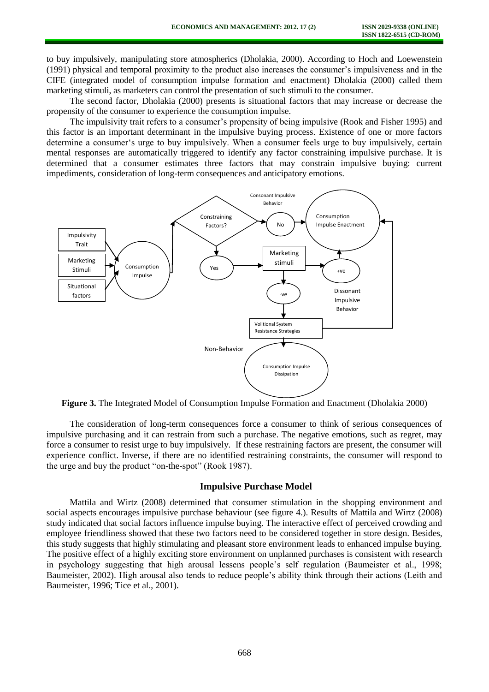to buy impulsively, manipulating store atmospherics (Dholakia, 2000). According to Hoch and Loewenstein (1991) physical and temporal proximity to the product also increases the consumer's impulsiveness and in the CIFE (integrated model of consumption impulse formation and enactment) Dholakia (2000) called them marketing stimuli, as marketers can control the presentation of such stimuli to the consumer.

The second factor, Dholakia (2000) presents is situational factors that may increase or decrease the propensity of the consumer to experience the consumption impulse.

The impulsivity trait refers to a consumer's propensity of being impulsive (Rook and Fisher 1995) and this factor is an important determinant in the impulsive buying process. Existence of one or more factors determine a consumer's urge to buy impulsively. When a consumer feels urge to buy impulsively, certain mental responses are automatically triggered to identify any factor constraining impulsive purchase. It is determined that a consumer estimates three factors that may constrain impulsive buying: current impediments, consideration of long-term consequences and anticipatory emotions.



**Figure 3.** The Integrated Model of Consumption Impulse Formation and Enactment (Dholakia 2000)

The consideration of long-term consequences force a consumer to think of serious consequences of impulsive purchasing and it can restrain from such a purchase. The negative emotions, such as regret, may force a consumer to resist urge to buy impulsively. If these restraining factors are present, the consumer will experience conflict. Inverse, if there are no identified restraining constraints, the consumer will respond to the urge and buy the product "on-the-spot" (Rook 1987).

## **Impulsive Purchase Model**

Mattila and Wirtz (2008) determined that consumer stimulation in the shopping environment and social aspects encourages impulsive purchase behaviour (see figure 4.). Results of Mattila and Wirtz (2008) study indicated that social factors influence impulse buying. The interactive effect of perceived crowding and employee friendliness showed that these two factors need to be considered together in store design. Besides, this study suggests that highly stimulating and pleasant store environment leads to enhanced impulse buying. The positive effect of a highly exciting store environment on unplanned purchases is consistent with research in psychology suggesting that high arousal lessens people's self regulation (Baumeister et al., 1998; Baumeister, 2002). High arousal also tends to reduce people's ability think through their actions (Leith and Baumeister, 1996; Tice et al., 2001).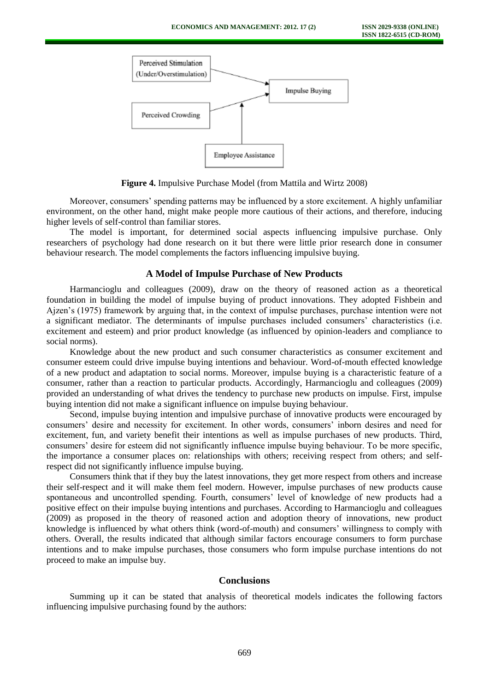

**Figure 4.** Impulsive Purchase Model (from Mattila and Wirtz 2008)

Moreover, consumers' spending patterns may be influenced by a store excitement. A highly unfamiliar environment, on the other hand, might make people more cautious of their actions, and therefore, inducing higher levels of self-control than familiar stores.

The model is important, for determined social aspects influencing impulsive purchase. Only researchers of psychology had done research on it but there were little prior research done in consumer behaviour research. The model complements the factors influencing impulsive buying.

## **A Model of Impulse Purchase of New Products**

Harmancioglu and colleagues (2009), draw on the theory of reasoned action as a theoretical foundation in building the model of impulse buying of product innovations. They adopted Fishbein and Ajzen's (1975) framework by arguing that, in the context of impulse purchases, purchase intention were not a significant mediator. The determinants of impulse purchases included consumers' characteristics (i.e. excitement and esteem) and prior product knowledge (as influenced by opinion-leaders and compliance to social norms).

Knowledge about the new product and such consumer characteristics as consumer excitement and consumer esteem could drive impulse buying intentions and behaviour. Word-of-mouth effected knowledge of a new product and adaptation to social norms. Moreover, impulse buying is a characteristic feature of a consumer, rather than a reaction to particular products. Accordingly, Harmancioglu and colleagues (2009) provided an understanding of what drives the tendency to purchase new products on impulse. First, impulse buying intention did not make a significant influence on impulse buying behaviour.

Second, impulse buying intention and impulsive purchase of innovative products were encouraged by consumers' desire and necessity for excitement. In other words, consumers' inborn desires and need for excitement, fun, and variety benefit their intentions as well as impulse purchases of new products. Third, consumers' desire for esteem did not significantly influence impulse buying behaviour. To be more specific, the importance a consumer places on: relationships with others; receiving respect from others; and selfrespect did not significantly influence impulse buying.

Consumers think that if they buy the latest innovations, they get more respect from others and increase their self-respect and it will make them feel modern. However, impulse purchases of new products cause spontaneous and uncontrolled spending. Fourth, consumers' level of knowledge of new products had a positive effect on their impulse buying intentions and purchases. According to Harmancioglu and colleagues (2009) as proposed in the theory of reasoned action and adoption theory of innovations, new product knowledge is influenced by what others think (word-of-mouth) and consumers' willingness to comply with others. Overall, the results indicated that although similar factors encourage consumers to form purchase intentions and to make impulse purchases, those consumers who form impulse purchase intentions do not proceed to make an impulse buy.

# **Conclusions**

Summing up it can be stated that analysis of theoretical models indicates the following factors influencing impulsive purchasing found by the authors: